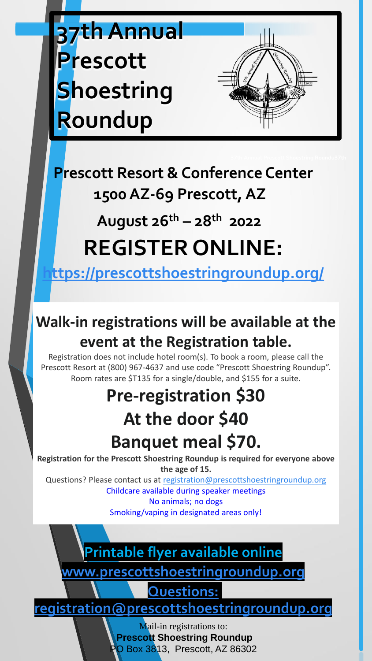**37th Annual Prescott Shoestring Roundup** 



## **Prescott Resort & Conference Center 1500 AZ-69 Prescott, AZ**

## **August 26th – 28th 2022 REGISTER ONLINE:**

**<https://prescottshoestringroundup.org/>**

## **Walk-in registrations will be available at the event at the Registration table.**

Registration does not include hotel room(s). To book a room, please call the Prescott Resort at (800) 967-4637 and use code "Prescott Shoestring Roundup". Room rates are \$T135 for a single/double, and \$155 for a suite.

## **Pre-registration \$30 At the door \$40 Banquet meal \$70.**

**Registration for the Prescott Shoestring Roundup is required for everyone above the age of 15.**

Questions? Please contact us at [registration@prescottshoestringroundup.org](mailto:registration@prescottshoestringroundup.org) Childcare available during speaker meetings

No animals; no dogs Smoking/vaping in designated areas only!

#### **Printable flyer available online**

**[www.prescottshoestringroundup.org](http://www.prescottshoestringroundup.org/)**

**Questions:** 

**[registration@prescottshoestringroundup.org](mailto:registration@prescottshoestringroundup.org)**

Mail-in registrations to: **Prescott Shoestring Roundup** PO Box 3813, Prescott, AZ 86302